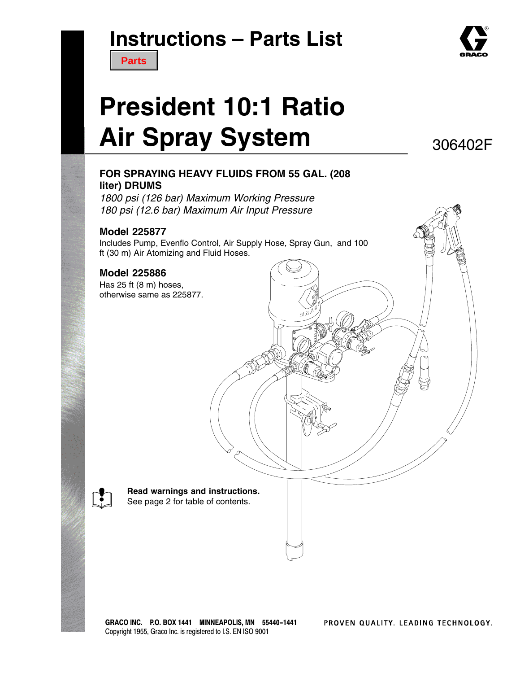# **Instructions – Parts List**



# **President 10:1 Ratio Air Spray System**

306402F

### **FOR SPRAYING HEAVY FLUIDS FROM 55 GAL. (208 liter) DRUMS**

*1800 psi (126 bar) Maximum Working Pressure 180 psi (12.6 bar) Maximum Air Input Pressure*

#### **Model 225877**

Includes Pump, Evenflo Control, Air Supply Hose, Spray Gun, and 100 ft (30 m) Air Atomizing and Fluid Hoses.

#### **Model 225886**

Has 25 ft (8 m) hoses, otherwise same as 225877.

> **Read warnings and instructions.** See page 2 for table of contents.

GRACO INC. P.O. BOX 1441 MINNEAPOLIS, MN 55440-1441 Copyright 1955, Graco Inc. is registered to I.S. EN ISO 9001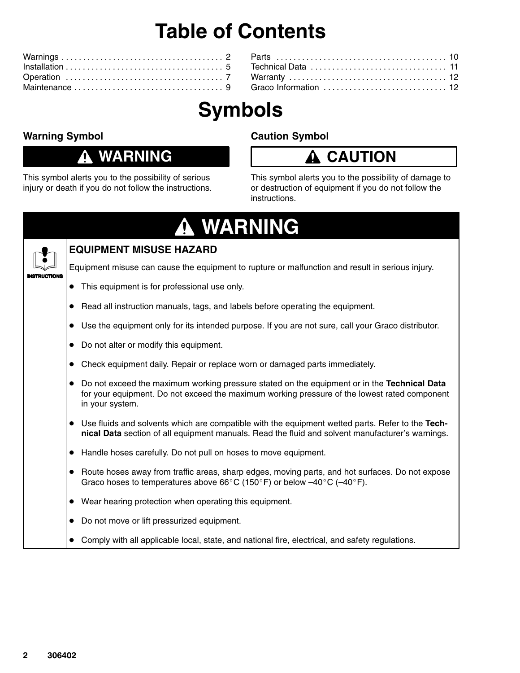# **Table of Contents**

# **Symbols**

### **Warning Symbol**

### **WARNING**

This symbol alerts you to the possibility of serious injury or death if you do not follow the instructions.

### **Caution Symbol**

### **CAUTION**

This symbol alerts you to the possibility of damage to or destruction of equipment if you do not follow the instructions.

### **WARNING**  $\mathbf \Phi$



### **EQUIPMENT MISUSE HAZARD**

Equipment misuse can cause the equipment to rupture or malfunction and result in serious injury.

- This equipment is for professional use only.
- Read all instruction manuals, tags, and labels before operating the equipment.
- Use the equipment only for its intended purpose. If you are not sure, call your Graco distributor.
- Do not alter or modify this equipment.
- Check equipment daily. Repair or replace worn or damaged parts immediately.
- Do not exceed the maximum working pressure stated on the equipment or in the **Technical Data** for your equipment. Do not exceed the maximum working pressure of the lowest rated component in your system.
- Use fluids and solvents which are compatible with the equipment wetted parts. Refer to the **Technical Data** section of all equipment manuals. Read the fluid and solvent manufacturer's warnings.
- Handle hoses carefully. Do not pull on hoses to move equipment.
- Route hoses away from traffic areas, sharp edges, moving parts, and hot surfaces. Do not expose Graco hoses to temperatures above 66°C (150°F) or below  $-40^{\circ}$ C ( $-40^{\circ}$ F).
- Wear hearing protection when operating this equipment.
- Do not move or lift pressurized equipment.
- Comply with all applicable local, state, and national fire, electrical, and safety regulations.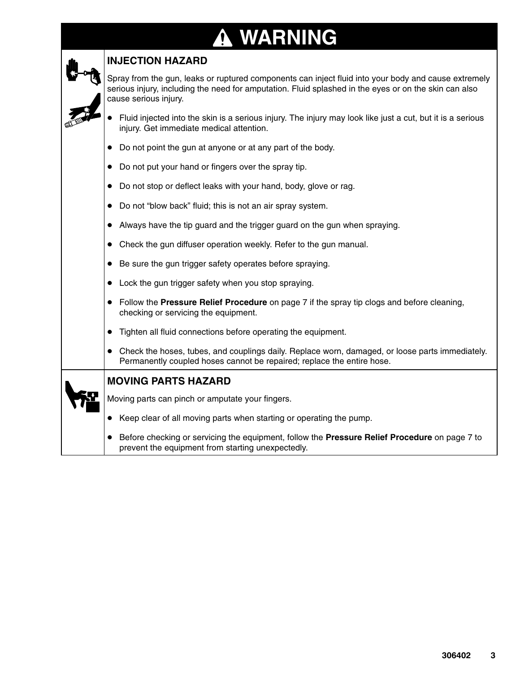# **WARNING**

| <b>INJECTION HAZARD</b>                                                                                                                                                                                                                |  |  |  |  |  |
|----------------------------------------------------------------------------------------------------------------------------------------------------------------------------------------------------------------------------------------|--|--|--|--|--|
| Spray from the gun, leaks or ruptured components can inject fluid into your body and cause extremely<br>serious injury, including the need for amputation. Fluid splashed in the eyes or on the skin can also<br>cause serious injury. |  |  |  |  |  |
| Fluid injected into the skin is a serious injury. The injury may look like just a cut, but it is a serious<br>injury. Get immediate medical attention.                                                                                 |  |  |  |  |  |
| Do not point the gun at anyone or at any part of the body.                                                                                                                                                                             |  |  |  |  |  |
| Do not put your hand or fingers over the spray tip.<br>$\bullet$                                                                                                                                                                       |  |  |  |  |  |
| Do not stop or deflect leaks with your hand, body, glove or rag.<br>$\bullet$                                                                                                                                                          |  |  |  |  |  |
| Do not "blow back" fluid; this is not an air spray system.<br>$\bullet$                                                                                                                                                                |  |  |  |  |  |
| Always have the tip guard and the trigger guard on the gun when spraying.                                                                                                                                                              |  |  |  |  |  |
| Check the gun diffuser operation weekly. Refer to the gun manual.                                                                                                                                                                      |  |  |  |  |  |
| Be sure the gun trigger safety operates before spraying.<br>$\bullet$                                                                                                                                                                  |  |  |  |  |  |
| Lock the gun trigger safety when you stop spraying.<br>$\bullet$                                                                                                                                                                       |  |  |  |  |  |
| Follow the Pressure Relief Procedure on page 7 if the spray tip clogs and before cleaning,<br>checking or servicing the equipment.                                                                                                     |  |  |  |  |  |
| Tighten all fluid connections before operating the equipment.                                                                                                                                                                          |  |  |  |  |  |
| Check the hoses, tubes, and couplings daily. Replace worn, damaged, or loose parts immediately.<br>Permanently coupled hoses cannot be repaired; replace the entire hose.                                                              |  |  |  |  |  |
| <b>MOVING PARTS HAZARD</b>                                                                                                                                                                                                             |  |  |  |  |  |
| Moving parts can pinch or amputate your fingers.                                                                                                                                                                                       |  |  |  |  |  |
| Keep clear of all moving parts when starting or operating the pump.<br>$\bullet$                                                                                                                                                       |  |  |  |  |  |
| Before checking or servicing the equipment, follow the Pressure Relief Procedure on page 7 to<br>prevent the equipment from starting unexpectedly.                                                                                     |  |  |  |  |  |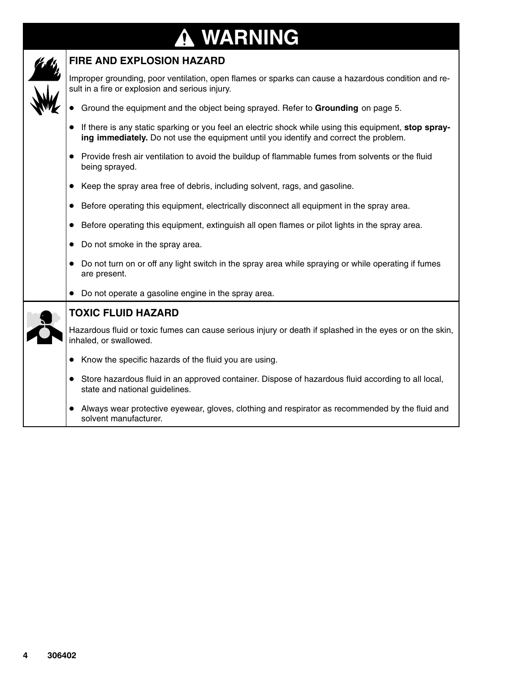### **WARNING ↑**



### **FIRE AND EXPLOSION HAZARD**

Improper grounding, poor ventilation, open flames or sparks can cause a hazardous condition and result in a fire or explosion and serious injury.

- Ground the equipment and the object being sprayed. Refer to **Grounding** on page 5.
- If there is any static sparking or you feel an electric shock while using this equipment, stop spray**ing immediately.** Do not use the equipment until you identify and correct the problem.
- Provide fresh air ventilation to avoid the buildup of flammable fumes from solvents or the fluid being sprayed.
- Keep the spray area free of debris, including solvent, rags, and gasoline.
- Before operating this equipment, electrically disconnect all equipment in the spray area.
- Before operating this equipment, extinguish all open flames or pilot lights in the spray area.
- Do not smoke in the spray area.
- Do not turn on or off any light switch in the spray area while spraying or while operating if fumes are present.
- Do not operate a gasoline engine in the spray area.



#### **TOXIC FLUID HAZARD**

Hazardous fluid or toxic fumes can cause serious injury or death if splashed in the eyes or on the skin, inhaled, or swallowed.

- Know the specific hazards of the fluid you are using.
- Store hazardous fluid in an approved container. Dispose of hazardous fluid according to all local, state and national guidelines.
- Always wear protective eyewear, gloves, clothing and respirator as recommended by the fluid and solvent manufacturer.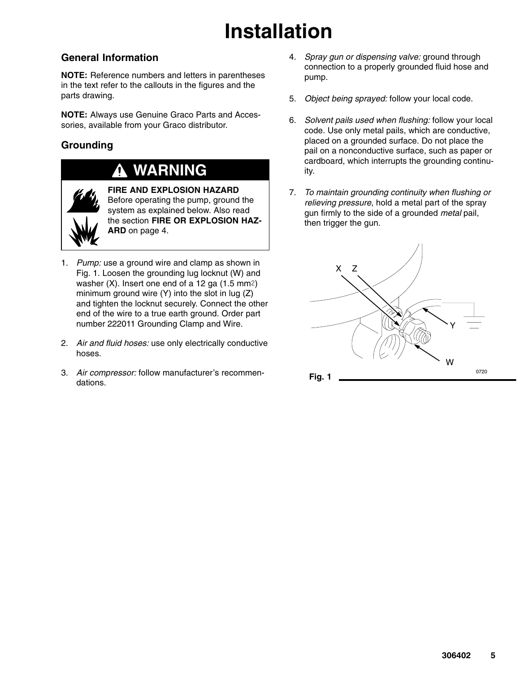# **Installation**

### **General Information**

**NOTE:** Reference numbers and letters in parentheses in the text refer to the callouts in the figures and the parts drawing.

**NOTE:** Always use Genuine Graco Parts and Accessories, available from your Graco distributor.

### **Grounding**

### **WARNING**



**FIRE AND EXPLOSION HAZARD** Before operating the pump, ground the system as explained below. Also read the section **FIRE OR EXPLOSION HAZ-ARD** on page 4.

- 1. *Pump:* use a ground wire and clamp as shown in Fig. 1. Loosen the grounding lug locknut (W) and washer  $(X)$ . Insert one end of a 12 ga  $(1.5 \text{ mm}^2)$ minimum ground wire (Y) into the slot in lug (Z) and tighten the locknut securely. Connect the other end of the wire to a true earth ground. Order part number 222011 Grounding Clamp and Wire.
- 2. *Air and fluid hoses:* use only electrically conductive hoses.
- 3. *Air compressor:* follow manufacturer's recommendations.
- 4. *Spray gun or dispensing valve:* ground through connection to a properly grounded fluid hose and pump.
- 5. *Object being sprayed:* follow your local code.
- 6. *Solvent pails used when flushing:* follow your local code. Use only metal pails, which are conductive, placed on a grounded surface. Do not place the pail on a nonconductive surface, such as paper or cardboard, which interrupts the grounding continuity.
- 7. *To maintain grounding continuity when flushing or relieving pressure*, hold a metal part of the spray gun firmly to the side of a grounded *metal* pail, then trigger the gun.

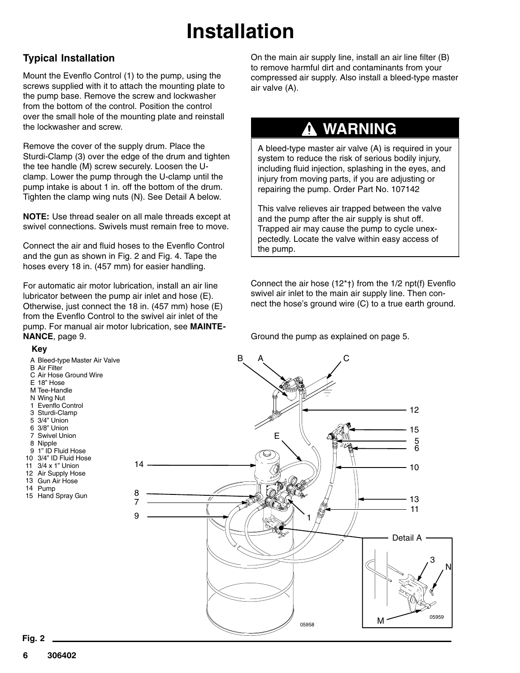# **Installation**

### **Typical Installation**

Mount the Evenflo Control (1) to the pump, using the screws supplied with it to attach the mounting plate to the pump base. Remove the screw and lockwasher from the bottom of the control. Position the control over the small hole of the mounting plate and reinstall the lockwasher and screw.

Remove the cover of the supply drum. Place the Sturdi-Clamp (3) over the edge of the drum and tighten the tee handle (M) screw securely. Loosen the Uclamp. Lower the pump through the U-clamp until the pump intake is about 1 in. off the bottom of the drum. Tighten the clamp wing nuts (N). See Detail A below.

**NOTE:** Use thread sealer on all male threads except at swivel connections. Swivels must remain free to move.

Connect the air and fluid hoses to the Evenflo Control and the gun as shown in Fig. 2 and Fig. 4. Tape the hoses every 18 in. (457 mm) for easier handling.

For automatic air motor lubrication, install an air line lubricator between the pump air inlet and hose (E). Otherwise, just connect the 18 in. (457 mm) hose (E) from the Evenflo Control to the swivel air inlet of the pump. For manual air motor lubrication, see **MAINTE-NANCE**, page 9.

**Key**



A Bleed-type Master Air Valve

- 1" ID Fluid Hose 9
- 3/4" ID Fluid Hose 10
- 3/4 x 1" Union 11
- 12 Air Supply Hose Gun Air Hose 13
- Pump 14
- 15 Hand Spray Gun

On the main air supply line, install an air line filter (B) to remove harmful dirt and contaminants from your compressed air supply. Also install a bleed-type master air valve (A).

### **WARNING**

A bleed-type master air valve (A) is required in your system to reduce the risk of serious bodily injury, including fluid injection, splashing in the eyes, and injury from moving parts, if you are adjusting or repairing the pump. Order Part No. 107142

This valve relieves air trapped between the valve and the pump after the air supply is shut off. Trapped air may cause the pump to cycle unexpectedly. Locate the valve within easy access of the pump.

Connect the air hose (12\*†) from the 1/2 npt(f) Evenflo swivel air inlet to the main air supply line. Then connect the hose's ground wire (C) to a true earth ground.

Ground the pump as explained on page 5.

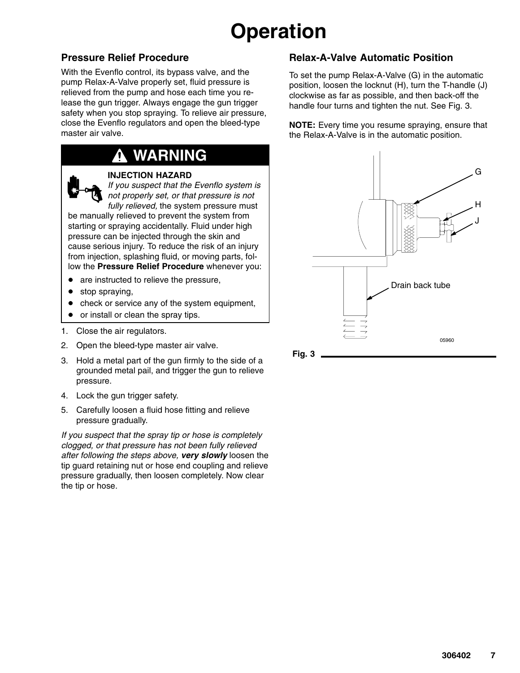# **Operation**

### **Pressure Relief Procedure**

With the Evenflo control, its bypass valve, and the pump Relax-A-Valve properly set, fluid pressure is relieved from the pump and hose each time you release the gun trigger. Always engage the gun trigger safety when you stop spraying. To relieve air pressure, close the Evenflo regulators and open the bleed-type master air valve.

### **WARNING**



#### **INJECTION HAZARD**

*If you suspect that the Evenflo system is not properly set, or that pressure is not fully relieved,* the system pressure must

be manually relieved to prevent the system from starting or spraying accidentally. Fluid under high pressure can be injected through the skin and cause serious injury. To reduce the risk of an injury from injection, splashing fluid, or moving parts, follow the **Pressure Relief Procedure** whenever you:

- are instructed to relieve the pressure,
- stop spraying,
- check or service any of the system equipment,
- $\bullet$ or install or clean the spray tips.
- 1. Close the air regulators.
- 2. Open the bleed-type master air valve.
- 3. Hold a metal part of the gun firmly to the side of a grounded metal pail, and trigger the gun to relieve pressure.
- 4. Lock the gun trigger safety.
- 5. Carefully loosen a fluid hose fitting and relieve pressure gradually.

*If you suspect that the spray tip or hose is completely clogged, or that pressure has not been fully relieved after following the steps above, very slowly* loosen the tip guard retaining nut or hose end coupling and relieve pressure gradually, then loosen completely. Now clear the tip or hose.

### **Relax-A-Valve Automatic Position**

To set the pump Relax-A-Valve (G) in the automatic position, loosen the locknut (H), turn the T-handle (J) clockwise as far as possible, and then back-off the handle four turns and tighten the nut. See Fig. 3.

**NOTE:** Every time you resume spraying, ensure that the Relax-A-Valve is in the automatic position.

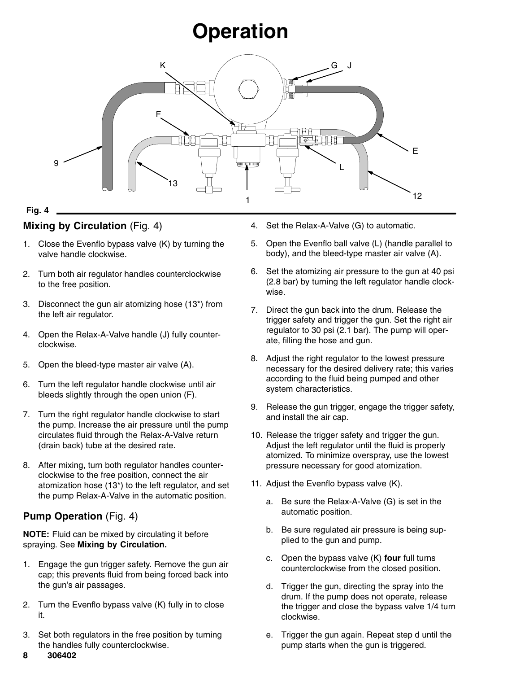# **Operation**



#### **Fig. 4**

### **Mixing by Circulation** (Fig. 4)

- 1. Close the Evenflo bypass valve (K) by turning the valve handle clockwise.
- 2. Turn both air regulator handles counterclockwise to the free position.
- 3. Disconnect the gun air atomizing hose (13\*) from the left air regulator.
- 4. Open the Relax-A-Valve handle (J) fully counterclockwise.
- 5. Open the bleed-type master air valve (A).
- 6. Turn the left regulator handle clockwise until air bleeds slightly through the open union (F).
- 7. Turn the right regulator handle clockwise to start the pump. Increase the air pressure until the pump circulates fluid through the Relax-A-Valve return (drain back) tube at the desired rate.
- 8. After mixing, turn both regulator handles counterclockwise to the free position, connect the air atomization hose (13\*) to the left regulator, and set the pump Relax-A-Valve in the automatic position.

### **Pump Operation** (Fig. 4)

**NOTE:** Fluid can be mixed by circulating it before spraying. See **Mixing by Circulation.**

- 1. Engage the gun trigger safety. Remove the gun air cap; this prevents fluid from being forced back into the gun's air passages.
- 2. Turn the Evenflo bypass valve (K) fully in to close it.
- 3. Set both regulators in the free position by turning the handles fully counterclockwise.
- 4. Set the Relax-A-Valve (G) to automatic.
- 5. Open the Evenflo ball valve (L) (handle parallel to body), and the bleed-type master air valve (A).
- 6. Set the atomizing air pressure to the gun at 40 psi (2.8 bar) by turning the left regulator handle clockwise.
- 7. Direct the gun back into the drum. Release the trigger safety and trigger the gun. Set the right air regulator to 30 psi (2.1 bar). The pump will operate, filling the hose and gun.
- 8. Adjust the right regulator to the lowest pressure necessary for the desired delivery rate; this varies according to the fluid being pumped and other system characteristics.
- 9. Release the gun trigger, engage the trigger safety, and install the air cap.
- 10. Release the trigger safety and trigger the gun. Adjust the left regulator until the fluid is properly atomized. To minimize overspray, use the lowest pressure necessary for good atomization.
- 11. Adjust the Evenflo bypass valve (K).
	- a. Be sure the Relax-A-Valve (G) is set in the automatic position.
	- b. Be sure regulated air pressure is being supplied to the gun and pump.
	- c. Open the bypass valve (K) **four** full turns counterclockwise from the closed position.
	- d. Trigger the gun, directing the spray into the drum. If the pump does not operate, release the trigger and close the bypass valve 1/4 turn clockwise.
	- e. Trigger the gun again. Repeat step d until the pump starts when the gun is triggered.

8 306402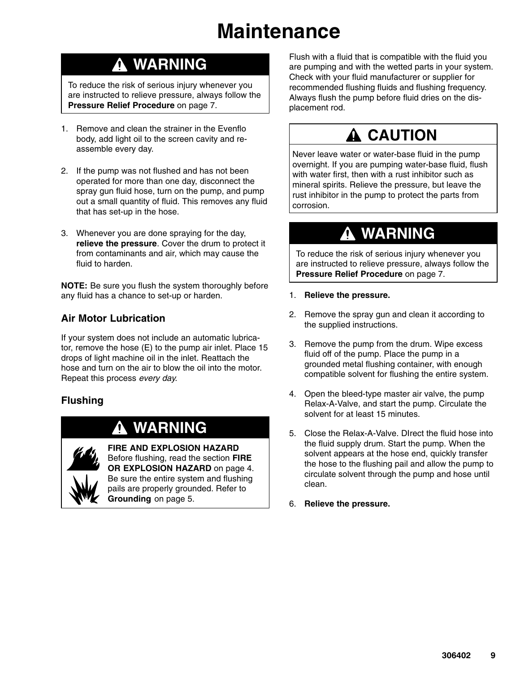# **Maintenance**

### **WARNING**

To reduce the risk of serious injury whenever you are instructed to relieve pressure, always follow the **Pressure Relief Procedure** on page 7.

- 1. Remove and clean the strainer in the Evenflo body, add light oil to the screen cavity and reassemble every day.
- 2. If the pump was not flushed and has not been operated for more than one day, disconnect the spray gun fluid hose, turn on the pump, and pump out a small quantity of fluid. This removes any fluid that has set-up in the hose.
- 3. Whenever you are done spraying for the day, **relieve the pressure**. Cover the drum to protect it from contaminants and air, which may cause the fluid to harden.

**NOTE:** Be sure you flush the system thoroughly before any fluid has a chance to set-up or harden.

### **Air Motor Lubrication**

If your system does not include an automatic lubricator, remove the hose (E) to the pump air inlet. Place 15 drops of light machine oil in the inlet. Reattach the hose and turn on the air to blow the oil into the motor. Repeat this process *every day*.

### **Flushing**

### **WARNING**



**FIRE AND EXPLOSION HAZARD** Before flushing, read the section **FIRE OR EXPLOSION HAZARD** on page 4. Be sure the entire system and flushing pails are properly grounded. Refer to **Grounding** on page 5.

Flush with a fluid that is compatible with the fluid you are pumping and with the wetted parts in your system. Check with your fluid manufacturer or supplier for recommended flushing fluids and flushing frequency. Always flush the pump before fluid dries on the displacement rod.

### **A CAUTION**

Never leave water or water-base fluid in the pump overnight. If you are pumping water-base fluid, flush with water first, then with a rust inhibitor such as mineral spirits. Relieve the pressure, but leave the rust inhibitor in the pump to protect the parts from corrosion.

### **WARNING**

To reduce the risk of serious injury whenever you are instructed to relieve pressure, always follow the **Pressure Relief Procedure** on page 7.

- 1. **Relieve the pressure.**
- 2. Remove the spray gun and clean it according to the supplied instructions.
- 3. Remove the pump from the drum. Wipe excess fluid off of the pump. Place the pump in a grounded metal flushing container, with enough compatible solvent for flushing the entire system.
- 4. Open the bleed-type master air valve, the pump Relax-A-Valve, and start the pump. Circulate the solvent for at least 15 minutes.
- 5. Close the Relax-A-Valve. DIrect the fluid hose into the fluid supply drum. Start the pump. When the solvent appears at the hose end, quickly transfer the hose to the flushing pail and allow the pump to circulate solvent through the pump and hose until clean.
- 6. **Relieve the pressure.**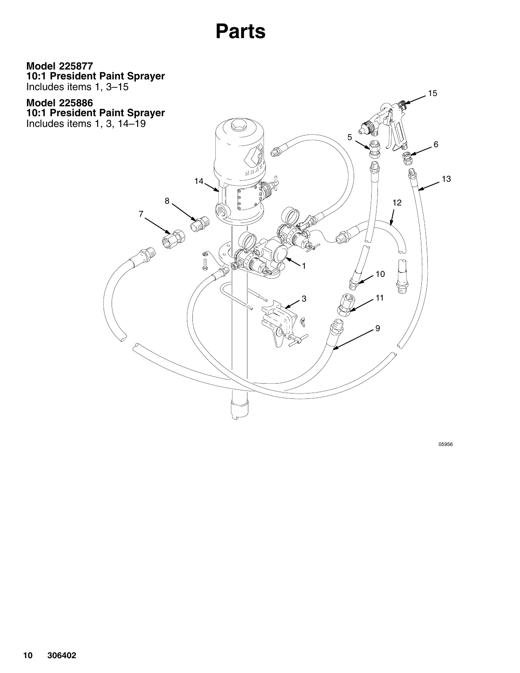## **Parts**

<span id="page-9-0"></span>**10:1 President Paint Sprayer** Includes items 1, 3–15 **Model 225877**

**10:1 President Paint Sprayer** Includes items 1, 3, 14–19 **Model 225886**

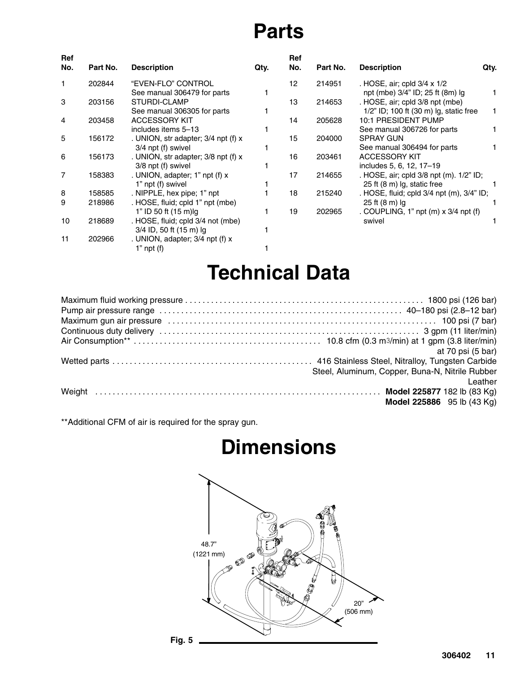# **Parts**

| <b>Ref</b><br>No. | Part No. | <b>Description</b>                  | Qty. | <b>Ref</b><br>No. | Part No. | <b>Description</b>                         | Qty. |
|-------------------|----------|-------------------------------------|------|-------------------|----------|--------------------------------------------|------|
|                   | 202844   | "EVEN-FLO" CONTROL                  |      | 12                | 214951   | . HOSE, air; cpld 3/4 x 1/2                |      |
|                   |          | See manual 306479 for parts         |      |                   |          | npt (mbe) 3/4" ID; 25 ft (8m) Ig           |      |
| 3                 | 203156   | STURDI-CLAMP                        |      | 13                | 214653   | . HOSE, air; cpld 3/8 npt (mbe)            |      |
|                   |          | See manual 306305 for parts         |      |                   |          | 1/2" ID; 100 ft (30 m) lg, static free     |      |
| 4                 | 203458   | <b>ACCESSORY KIT</b>                |      | 14                | 205628   | <b>10:1 PRESIDENT PUMP</b>                 |      |
|                   |          | includes items 5-13                 |      |                   |          | See manual 306726 for parts                |      |
| 5                 | 156172   | . UNION, str adapter; 3/4 npt (f) x |      | 15                | 204000   | <b>SPRAY GUN</b>                           |      |
|                   |          | 3/4 npt (f) swivel                  |      |                   |          | See manual 306494 for parts                |      |
| 6                 | 156173   | . UNION, str adapter; 3/8 npt (f) x |      | 16                | 203461   | <b>ACCESSORY KIT</b>                       |      |
|                   |          | 3/8 npt (f) swivel                  |      |                   |          | includes 5, 6, 12, 17-19                   |      |
| $\overline{7}$    | 158383   | . UNION, adapter; 1" npt (f) x      |      | 17                | 214655   | . HOSE, air; cpld 3/8 npt (m). 1/2" ID;    |      |
|                   |          | 1" npt (f) swivel                   |      |                   |          | 25 ft (8 m) lg, static free                |      |
| 8                 | 158585   | . NIPPLE, hex pipe; 1" npt          |      | 18                | 215240   | . HOSE, fluid; cpld 3/4 npt (m), 3/4" ID;  |      |
| 9                 | 218986   | . HOSE, fluid; cpld 1" npt (mbe)    |      |                   |          | 25 ft (8 m) lg                             |      |
|                   |          | 1" ID 50 ft (15 m)lg                |      | 19                | 202965   | . COUPLING, 1" $npt(m) \times 3/4$ npt (f) |      |
| 10                | 218689   | . HOSE, fluid; cpld 3/4 not (mbe)   |      |                   |          | swivel                                     |      |
|                   |          | 3/4 ID, 50 ft (15 m) lg             |      |                   |          |                                            |      |
| 11                | 202966   | . UNION, adapter; 3/4 npt (f) x     |      |                   |          |                                            |      |
|                   |          | 1" $npt(f)$                         |      |                   |          |                                            |      |

# **Technical Data**

| at 70 psi (5 bar)                               |
|-------------------------------------------------|
|                                                 |
| Steel, Aluminum, Copper, Buna-N, Nitrile Rubber |
| Leather                                         |
|                                                 |
| Model 225886 95 lb (43 Kg)                      |

\*\*Additional CFM of air is required for the spray gun.

# **Dimensions**